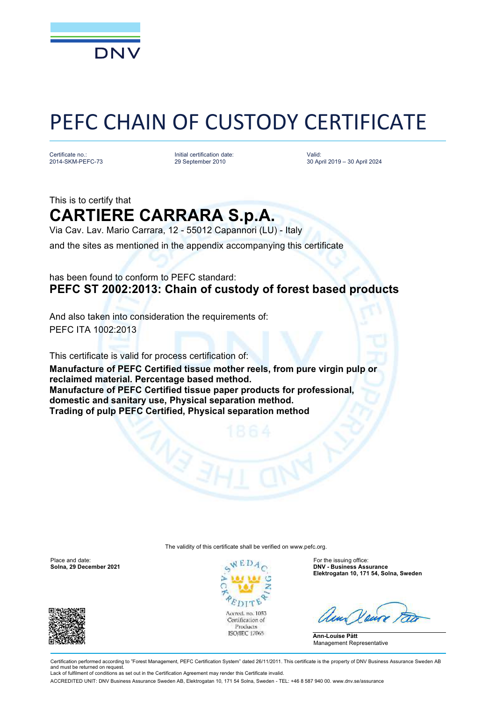

# PEFC CHAIN OF CUSTODY CERTIFICATE

Certificate no.: 2014-SKM-PEFC-73

Initial certification date: 29 September 2010

Valid: 30 April 2019 – 30 April 2024

## This is to certify that **CARTIERE CARRARA S.p.A.**

Via Cav. Lav. Mario Carrara, 12 - 55012 Capannori (LU) - Italy

and the sites as mentioned in the appendix accompanying this certificate

### has been found to conform to PEFC standard: **PEFC ST 2002:2013: Chain of custody of forest based products**

And also taken into consideration the requirements of: PEFC ITA 1002:2013

This certificate is valid for process certification of: **Manufacture of PEFC Certified tissue mother reels, from pure virgin pulp or reclaimed material. Percentage based method. Manufacture of PEFC Certified tissue paper products for professional, domestic and sanitary use, Physical separation method. Trading of pulp PEFC Certified, Physical separation method**

The validity of this certificate shall be verified on [www.pefc.org.](http://www.pefc.org)

Place and date: For the issuing office: For the issuing office:





**Solna, 29 December 2021 DNV - Business Assurance Elektrogatan 10, 171 54, Solna, Sweden**

**Ann-Louise Pått** Management Representative

Certification performed according to "Forest Management, PEFC Certification System" dated 26/11/2011. This certificate is the property of DNV Business Assurance Sweden AB and must be returned on request. Lack of fulfilment of conditions as set out in the Certification Agreement may render this Certificate invalid

ACCREDITED UNIT: DNV Business Assurance Sweden AB, Elektrogatan 10, 171 54 Solna, Sweden - TEL: +46 8 587 940 00. [www.dnv.se/assurance](http://www.dnv.se/assurance)